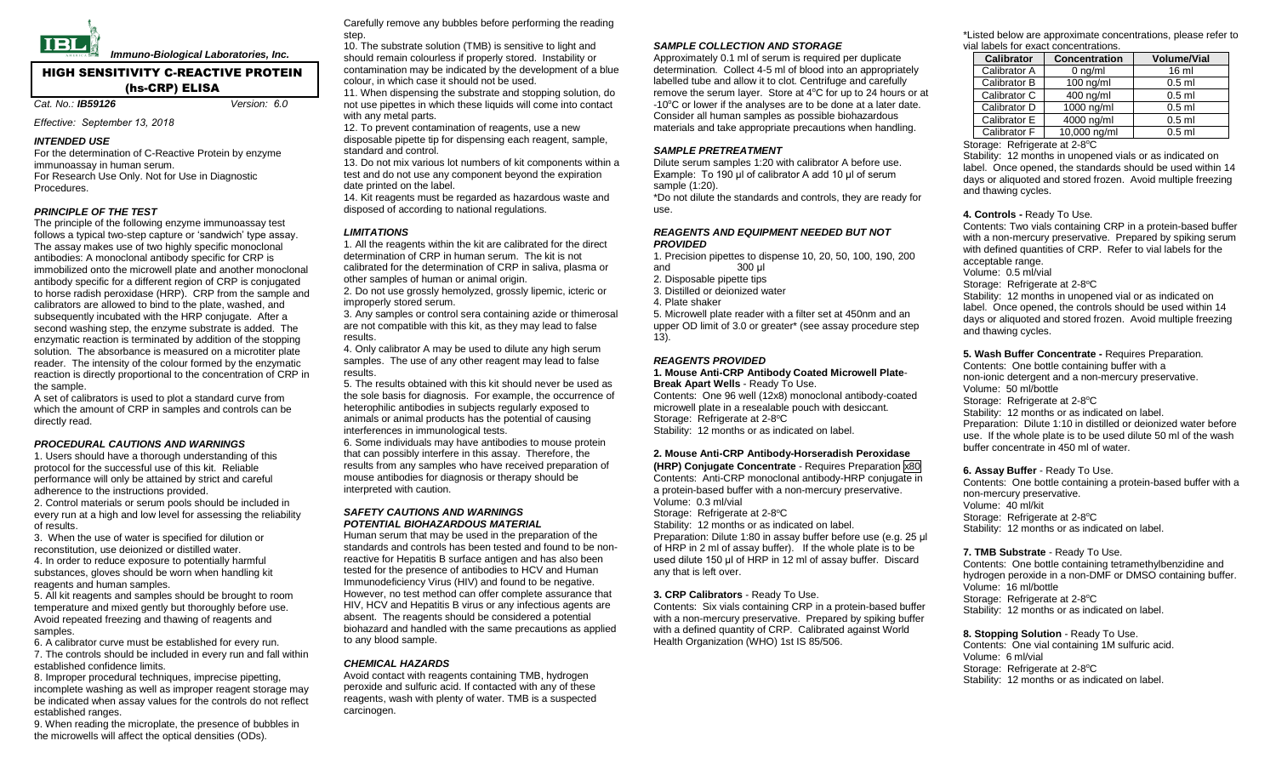

 *Immuno-Biological Laboratories, Inc.*

# HIGH SENSITIVITY C-REACTIVE PROTEIN (hs-CRP) ELISA

*Cat. No.: IB59126 Version: 6.0* 

## *Effective: September 13, 2018*

## *INTENDED USE*

For the determination of C-Reactive Protein by enzyme immunoassay in human serum. For Research Use Only. Not for Use in Diagnostic Procedures.

## *PRINCIPLE OF THE TEST*

The principle of the following enzyme immunoassay test follows a typical two-step capture or 'sandwich' type assay. The assay makes use of two highly specific monoclonal antibodies: A monoclonal antibody specific for CRP is immobilized onto the microwell plate and another monoclonal antibody specific for a different region of CRP is conjugated to horse radish peroxidase (HRP). CRP from the sample and calibrators are allowed to bind to the plate, washed, and subsequently incubated with the HRP conjugate. After a second washing step, the enzyme substrate is added. The enzymatic reaction is terminated by addition of the stopping solution. The absorbance is measured on a microtiter plate reader. The intensity of the colour formed by the enzymatic reaction is directly proportional to the concentration of CRP in the sample.

A set of calibrators is used to plot a standard curve from which the amount of CRP in samples and controls can be directly read.

### *PROCEDURAL CAUTIONS AND WARNINGS*

1. Users should have a thorough understanding of this protocol for the successful use of this kit. Reliable performance will only be attained by strict and careful adherence to the instructions provided.

2. Control materials or serum pools should be included in every run at a high and low level for assessing the reliability of results.

3. When the use of water is specified for dilution or reconstitution, use deionized or distilled water.

4. In order to reduce exposure to potentially harmful substances, gloves should be worn when handling kit reagents and human samples.

5. All kit reagents and samples should be brought to room temperature and mixed gently but thoroughly before use. Avoid repeated freezing and thawing of reagents and samples.

6. A calibrator curve must be established for every run. 7. The controls should be included in every run and fall within established confidence limits.

8. Improper procedural techniques, imprecise pipetting, incomplete washing as well as improper reagent storage may be indicated when assay values for the controls do not reflect established ranges.

9. When reading the microplate, the presence of bubbles in the microwells will affect the optical densities (ODs).

Carefully remove any bubbles before performing the reading step.

10. The substrate solution (TMB) is sensitive to light and should remain colourless if properly stored. Instability or contamination may be indicated by the development of a blue colour, in which case it should not be used.

11. When dispensing the substrate and stopping solution, do not use pipettes in which these liquids will come into contact with any metal parts.

12. To prevent contamination of reagents, use a new disposable pipette tip for dispensing each reagent, sample, standard and control.

13. Do not mix various lot numbers of kit components within a test and do not use any component beyond the expiration date printed on the label.

14. Kit reagents must be regarded as hazardous waste and

disposed of according to national regulations.

## *LIMITATIONS*

1. All the reagents within the kit are calibrated for the direct determination of CRP in human serum. The kit is not calibrated for the determination of CRP in saliva, plasma or other samples of human or animal origin.

2. Do not use grossly hemolyzed, grossly lipemic, icteric or improperly stored serum.

3. Any samples or control sera containing azide or thimerosal are not compatible with this kit, as they may lead to false results.

4. Only calibrator A may be used to dilute any high serum samples. The use of any other reagent may lead to false results.

5. The results obtained with this kit should never be used as the sole basis for diagnosis. For example, the occurrence of heterophilic antibodies in subjects regularly exposed to animals or animal products has the potential of causing interferences in immunological tests.

6. Some individuals may have antibodies to mouse protein that can possibly interfere in this assay. Therefore, the results from any samples who have received preparation of mouse antibodies for diagnosis or therapy should be interpreted with caution.

### *SAFETY CAUTIONS AND WARNINGS POTENTIAL BIOHAZARDOUS MATERIAL*

Human serum that may be used in the preparation of the standards and controls has been tested and found to be nonreactive for Hepatitis B surface antigen and has also been tested for the presence of antibodies to HCV and Human Immunodeficiency Virus (HIV) and found to be negative. However, no test method can offer complete assurance that HIV, HCV and Hepatitis B virus or any infectious agents are absent. The reagents should be considered a potential biohazard and handled with the same precautions as applied to any blood sample.

### *CHEMICAL HAZARDS*

Avoid contact with reagents containing TMB, hydrogen peroxide and sulfuric acid. If contacted with any of these reagents, wash with plenty of water. TMB is a suspected carcinogen.

## *SAMPLE COLLECTION AND STORAGE*

Approximately 0.1 ml of serum is required per duplicate determination. Collect 4-5 ml of blood into an appropriately labelled tube and allow it to clot. Centrifuge and carefully remove the serum layer. Store at 4°C for up to 24 hours or at -10<sup>o</sup>C or lower if the analyses are to be done at a later date. Consider all human samples as possible biohazardous materials and take appropriate precautions when handling.

### *SAMPLE PRETREATMENT*

Dilute serum samples 1:20 with calibrator A before use. Example: To 190 μl of calibrator A add 10 μl of serum sample (1:20).

\*Do not dilute the standards and controls, they are ready for use.

#### *REAGENTS AND EQUIPMENT NEEDED BUT NOT PROVIDED*

1. Precision pipettes to dispense 10, 20, 50, 100, 190, 200 and 300 μl 2. Disposable pipette tips 3. Distilled or deionized water

4. Plate shaker

5. Microwell plate reader with a filter set at 450nm and an upper OD limit of 3.0 or greater\* (see assay procedure step 13).

## *REAGENTS PROVIDED*

#### **1. Mouse Anti-CRP Antibody Coated Microwell Plate**-**Break Apart Wells** - Ready To Use.

Contents: One 96 well (12x8) monoclonal antibody-coated microwell plate in a resealable pouch with desiccant. Storage: Refrigerate at 2-8°C Stability: 12 months or as indicated on label.

# **2. Mouse Anti-CRP Antibody-Horseradish Peroxidase**

**(HRP) Conjugate Concentrate** - Requires Preparation x80 Contents: Anti-CRP monoclonal antibody-HRP conjugate in a protein-based buffer with a non-mercury preservative. Volume: 0.3 ml/vial Storage: Refrigerate at 2-8°C Stability: 12 months or as indicated on label. Preparation: Dilute 1:80 in assay buffer before use (e.g. 25 μl of HRP in 2 ml of assay buffer). If the whole plate is to be used dilute 150 μl of HRP in 12 ml of assay buffer. Discard any that is left over.

**3. CRP Calibrators** - Ready To Use. Contents: Six vials containing CRP in a protein-based buffer with a non-mercury preservative. Prepared by spiking buffer with a defined quantity of CRP. Calibrated against World Health Organization (WHO) 1st IS 85/506.

\*Listed below are approximate concentrations, please refer to vial labels for exact concentrations.

| <b>Calibrator</b> | <b>Concentration</b> | <b>Volume/Vial</b> |
|-------------------|----------------------|--------------------|
| Calibrator A      | $0$ ng/ml            | 16 <sub>m</sub>    |
| Calibrator B      | $100$ ng/ml          | $0.5$ ml           |
| Calibrator C      | 400 ng/ml            | $0.5$ ml           |
| Calibrator D      | $1000$ ng/ml         | $0.5$ ml           |
| Calibrator E      | 4000 ng/ml           | $0.5$ ml           |
| Calibrator F      | 10,000 ng/ml         | $0.5$ ml           |

Storage: Refrigerate at 2-8°C

Stability: 12 months in unopened vials or as indicated on label. Once opened, the standards should be used within 14 days or aliquoted and stored frozen. Avoid multiple freezing and thawing cycles.

### **4. Controls -** Ready To Use.

Contents: Two vials containing CRP in a protein-based buffer with a non-mercury preservative. Prepared by spiking serum with defined quantities of CRP. Refer to vial labels for the acceptable range. Volume: 0.5 ml/vial Storage: Refrigerate at 2-8°C Stability: 12 months in unopened vial or as indicated on label. Once opened, the controls should be used within 14 days or aliquoted and stored frozen. Avoid multiple freezing and thawing cycles.

## **5. Wash Buffer Concentrate -** Requires Preparation.

Contents: One bottle containing buffer with a non-ionic detergent and a non-mercury preservative. Volume: 50 ml/bottle Storage: Refrigerate at 2-8°C Stability: 12 months or as indicated on label. Preparation: Dilute 1:10 in distilled or deionized water before use. If the whole plate is to be used dilute 50 ml of the wash buffer concentrate in 450 ml of water.

## **6. Assay Buffer** - Ready To Use.

Contents: One bottle containing a protein-based buffer with a non-mercury preservative. Volume: 40 ml/kit Storage: Refrigerate at 2-8°C Stability: 12 months or as indicated on label.

# **7. TMB Substrate** - Ready To Use.

Contents: One bottle containing tetramethylbenzidine and hydrogen peroxide in a non-DMF or DMSO containing buffer. Volume: 16 ml/bottle Storage: Refrigerate at 2-8°C Stability: 12 months or as indicated on label.

**8. Stopping Solution** - Ready To Use. Contents: One vial containing 1M sulfuric acid. Volume: 6 ml/vial Storage: Refrigerate at 2-8°C Stability: 12 months or as indicated on label.